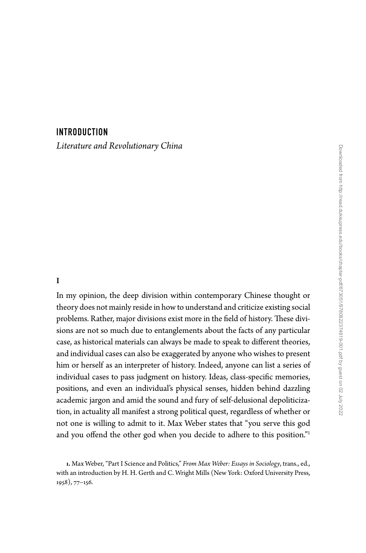# INTRODUCTION

*[Literature and Revolutionary China](#page--1-0)*

## I

In my opinion, the deep division within contemporary Chinese thought or theory does not mainly reside in how to understand and criticize existing social problems. Rather, major divisions exist more in the field of history. These divisions are not so much due to entanglements about the facts of any particular case, as historical materials can always be made to speak to different theories, and individual cases can also be exaggerated by anyone who wishes to present him or herself as an interpreter of history. Indeed, anyone can list a series of individual cases to pass judgment on history. Ideas, class- specific memories, positions, and even an individual's physical senses, hidden behind dazzling academic jargon and amid the sound and fury of self- delusional depoliticization, in actuality all manifest a strong political quest, regardless of whether or not one is willing to admit to it. Max Weber states that "you serve this god and you offend the other god when you decide to adhere to this position."1

<sup>1.</sup> Max Weber, "Part I Science and Politics," *From Max Weber: Essays in Sociology*, trans., ed., with an introduction by H. H. Gerth and C. Wright Mills (New York: Oxford University Press, 1958), 77– 156.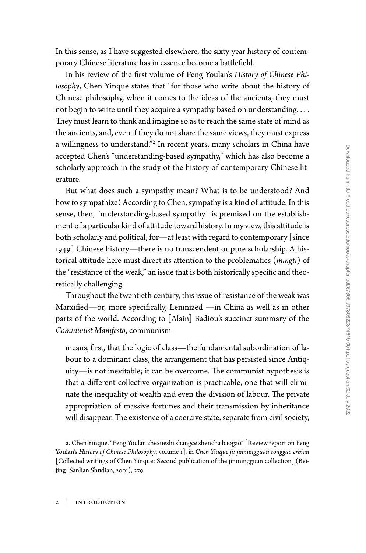In this sense, as I have suggested elsewhere, the sixty-year history of contemporary Chinese literature has in essence become a battlefield.

In his review of the first volume of Feng Youlan's *History of Chinese Philosophy*, Chen Yinque states that "for those who write about the history of Chinese philosophy, when it comes to the ideas of the ancients, they must not begin to write until they acquire a sympathy based on understanding. . . . They must learn to think and imagine so as to reach the same state of mind as the ancients, and, even if they do not share the same views, they must express a willingness to understand."2 In recent years, many scholars in China have accepted Chen's "understanding- based sympathy," which has also become a scholarly approach in the study of the history of contemporary Chinese literature.

But what does such a sympathy mean? What is to be understood? And how to sympathize? According to Chen, sympathy is a kind of attitude. In this sense, then, "understanding-based sympathy" is premised on the establishment of a particular kind of attitude toward history. In my view, this attitude is both scholarly and political, for—at least with regard to contemporary [since 1949] Chinese history—there is no transcendent or pure scholarship. A historical attitude here must direct its attention to the problematics (*mingti*) of the "resistance of the weak," an issue that is both historically specific and theoretically challenging.

Throughout the twentieth century, this issue of resistance of the weak was Marxified—or, more specifically, Leninized —in China as well as in other parts of the world. According to [Alain] Badiou's succinct summary of the *Communist Manifesto*, communism

means, first, that the logic of class—the fundamental subordination of labour to a dominant class, the arrangement that has persisted since Antiquity—is not inevitable; it can be overcome. The communist hypothesis is that a different collective organization is practicable, one that will eliminate the inequality of wealth and even the division of labour. The private appropriation of massive fortunes and their transmission by inheritance will disappear. The existence of a coercive state, separate from civil society,

2. Chen Yinque, "Feng Youlan zhexueshi shangce shencha baogao" [Review report on Feng Youlan's *History of Chinese Philosophy*, volume 1], in *Chen Yinque ji: jinmingguan conggao erbian* [Collected writings of Chen Yinque: Second publication of the jinmingguan collection] (Beijing: Sanlian Shudian, 2001), 279.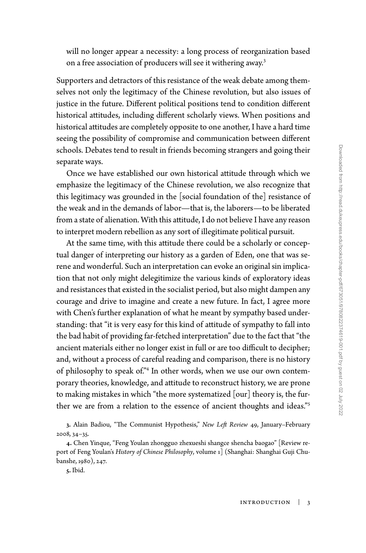will no longer appear a necessity: a long process of reorganization based on a free association of producers will see it withering away.<sup>3</sup>

Supporters and detractors of this resistance of the weak debate among themselves not only the legitimacy of the Chinese revolution, but also issues of justice in the future. Different political positions tend to condition different historical attitudes, including different scholarly views. When positions and historical attitudes are completely opposite to one another, I have a hard time seeing the possibility of compromise and communication between different schools. Debates tend to result in friends becoming strangers and going their separate ways.

Once we have established our own historical attitude through which we emphasize the legitimacy of the Chinese revolution, we also recognize that this legitimacy was grounded in the [social foundation of the] resistance of the weak and in the demands of labor—that is, the laborers—to be liberated from a state of alienation. With this attitude, I do not believe I have any reason to interpret modern rebellion as any sort of illegitimate political pursuit.

At the same time, with this attitude there could be a scholarly or conceptual danger of interpreting our history as a garden of Eden, one that was serene and wonderful. Such an interpretation can evoke an original sin implication that not only might delegitimize the various kinds of exploratory ideas and resistances that existed in the socialist period, but also might dampen any courage and drive to imagine and create a new future. In fact, I agree more with Chen's further explanation of what he meant by sympathy based understanding: that "it is very easy for this kind of attitude of sympathy to fall into the bad habit of providing far- fetched interpretation" due to the fact that "the ancient materials either no longer exist in full or are too difficult to decipher; and, without a process of careful reading and comparison, there is no history of philosophy to speak of."4 In other words, when we use our own contemporary theories, knowledge, and attitude to reconstruct history, we are prone to making mistakes in which "the more systematized [our] theory is, the further we are from a relation to the essence of ancient thoughts and ideas."5

<sup>3.</sup> Alain Badiou, "The Communist Hypothesis," *New Left Review* 49, January– February  $2008, 34-35.$ 

<sup>4.</sup> Chen Yinque, "Feng Youlan zhongguo zhexueshi shangce shencha baogao" [Review report of Feng Youlan's *History of Chinese Philosophy*, volume 1] (Shanghai: Shanghai Guji Chubanshe, 1980), 247.

<sup>5.</sup> Ibid.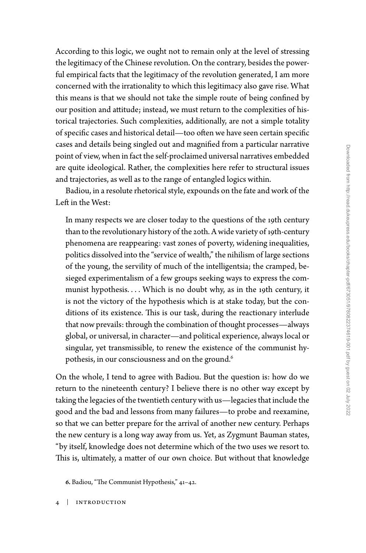According to this logic, we ought not to remain only at the level of stressing the legitimacy of the Chinese revolution. On the contrary, besides the powerful empirical facts that the legitimacy of the revolution generated, I am more concerned with the irrationality to which this legitimacy also gave rise. What this means is that we should not take the simple route of being confined by our position and attitude; instead, we must return to the complexities of historical trajectories. Such complexities, additionally, are not a simple totality of specific cases and historical detail—too often we have seen certain specific cases and details being singled out and magnified from a particular narrative point of view, when in fact the self- proclaimed universal narratives embedded are quite ideological. Rather, the complexities here refer to structural issues and trajectories, as well as to the range of entangled logics within.

Badiou, in a resolute rhetorical style, expounds on the fate and work of the Left in the West:

In many respects we are closer today to the questions of the 19th century than to the revolutionary history of the 20th. A wide variety of 19th- century phenomena are reappearing: vast zones of poverty, widening inequalities, politics dissolved into the "service of wealth," the nihilism of large sections of the young, the servility of much of the intelligentsia; the cramped, besieged experimentalism of a few groups seeking ways to express the communist hypothesis. . . . Which is no doubt why, as in the 19th century, it is not the victory of the hypothesis which is at stake today, but the conditions of its existence. This is our task, during the reactionary interlude that now prevails: through the combination of thought processes—always global, or universal, in character—and political experience, always local or singular, yet transmissible, to renew the existence of the communist hypothesis, in our consciousness and on the ground.<sup>6</sup>

On the whole, I tend to agree with Badiou. But the question is: how do we return to the nineteenth century? I believe there is no other way except by taking the legacies of the twentieth century with us—legacies that include the good and the bad and lessons from many failures—to probe and reexamine, so that we can better prepare for the arrival of another new century. Perhaps the new century is a long way away from us. Yet, as Zygmunt Bauman states, "by itself, knowledge does not determine which of the two uses we resort to. This is, ultimately, a matter of our own choice. But without that knowledge

6. Badiou, "The Communist Hypothesis," 41– 42.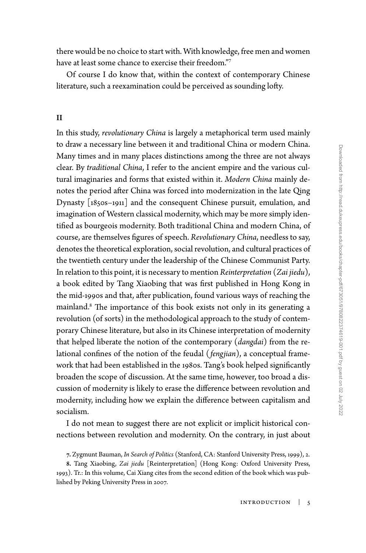there would be no choice to start with. With knowledge, free men and women have at least some chance to exercise their freedom."7

Of course I do know that, within the context of contemporary Chinese literature, such a reexamination could be perceived as sounding lofty.

## II

In this study, *revolutionary China* is largely a metaphorical term used mainly to draw a necessary line between it and traditional China or modern China. Many times and in many places distinctions among the three are not always clear. By *traditional China*, I refer to the ancient empire and the various cultural imaginaries and forms that existed within it. *Modern China* mainly denotes the period after China was forced into modernization in the late Qing Dynasty [1850s-1911] and the consequent Chinese pursuit, emulation, and imagination of Western classical modernity, which may be more simply identified as bourgeois modernity. Both traditional China and modern China, of course, are themselves figures of speech. *Revolutionary China*, needless to say, denotes the theoretical exploration, social revolution, and cultural practices of the twentieth century under the leadership of the Chinese Communist Party. In relation to this point, it is necessary to mention *Reinterpretation* (*Zai jiedu*), a book edited by Tang Xiaobing that was first published in Hong Kong in the mid- 1990s and that, after publication, found various ways of reaching the mainland.8 The importance of this book exists not only in its generating a revolution (of sorts) in the methodological approach to the study of contemporary Chinese literature, but also in its Chinese interpretation of modernity that helped liberate the notion of the contemporary (*dangdai*) from the relational confines of the notion of the feudal (*fengjian*), a conceptual framework that had been established in the 1980s. Tang's book helped significantly broaden the scope of discussion. At the same time, however, too broad a discussion of modernity is likely to erase the difference between revolution and modernity, including how we explain the difference between capitalism and socialism.

I do not mean to suggest there are not explicit or implicit historical connections between revolution and modernity. On the contrary, in just about

<sup>7.</sup> Zygmunt Bauman, *In Search of Politics* (Stanford, CA: Stanford University Press, 1999), 2.

<sup>8.</sup> Tang Xiaobing, *Zai jiedu* [Reinterpretation] (Hong Kong: Oxford University Press, 1993). Tr.: In this volume, Cai Xiang cites from the second edition of the book which was published by Peking University Press in 2007.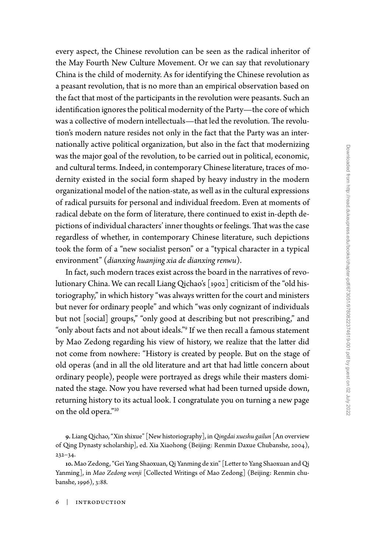every aspect, the Chinese revolution can be seen as the radical inheritor of the May Fourth New Culture Movement. Or we can say that revolutionary China is the child of modernity. As for identifying the Chinese revolution as a peasant revolution, that is no more than an empirical observation based on the fact that most of the participants in the revolution were peasants. Such an identification ignores the political modernity of the Party—the core of which was a collective of modern intellectuals—that led the revolution. The revolution's modern nature resides not only in the fact that the Party was an internationally active political organization, but also in the fact that modernizing was the major goal of the revolution, to be carried out in political, economic, and cultural terms. Indeed, in contemporary Chinese literature, traces of modernity existed in the social form shaped by heavy industry in the modern organizational model of the nation- state, as well as in the cultural expressions of radical pursuits for personal and individual freedom. Even at moments of radical debate on the form of literature, there continued to exist in-depth depictions of individual characters' inner thoughts or feelings. That was the case regardless of whether, in contemporary Chinese literature, such depictions took the form of a "new socialist person" or a "typical character in a typical environment" (*dianxing huanjing xia de dianxing renwu*).

In fact, such modern traces exist across the board in the narratives of revolutionary China. We can recall Liang Qichao's [1902] criticism of the "old historiography," in which history "was always written for the court and ministers but never for ordinary people" and which "was only cognizant of individuals but not [social] groups," "only good at describing but not prescribing," and "only about facts and not about ideals."9 If we then recall a famous statement by Mao Zedong regarding his view of history, we realize that the latter did not come from nowhere: "History is created by people. But on the stage of old operas (and in all the old literature and art that had little concern about ordinary people), people were portrayed as dregs while their masters dominated the stage. Now you have reversed what had been turned upside down, returning history to its actual look. I congratulate you on turning a new page on the old opera."10

<sup>9.</sup> Liang Qichao, "Xin shixue" [New historiography], in *Qingdai xueshu gailun* [An overview of Qing Dynasty scholarship], ed. Xia Xiaohong (Beijing: Renmin Daxue Chubanshe, 2004),  $232 - 34.$ 

<sup>10.</sup> Mao Zedong, "Gei Yang Shaoxuan, Qi Yanming de xin" [Letter to Yang Shaoxuan and Qi Yanming], in *Mao Zedong wenji* [Collected Writings of Mao Zedong] (Beijing: Renmin chubanshe, 1996), 3:88.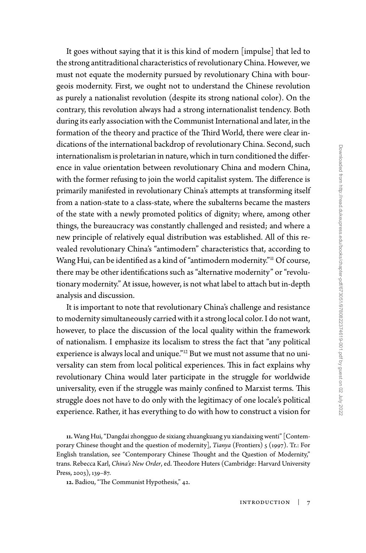It goes without saying that it is this kind of modern [impulse] that led to the strong antitraditional characteristics of revolutionary China. However, we must not equate the modernity pursued by revolutionary China with bourgeois modernity. First, we ought not to understand the Chinese revolution as purely a nationalist revolution (despite its strong national color). On the contrary, this revolution always had a strong internationalist tendency. Both during its early association with the Communist International and later, in the formation of the theory and practice of the Third World, there were clear indications of the international backdrop of revolutionary China. Second, such internationalism is proletarian in nature, which in turn conditioned the difference in value orientation between revolutionary China and modern China, with the former refusing to join the world capitalist system. The difference is primarily manifested in revolutionary China's attempts at transforming itself from a nation-state to a class-state, where the subalterns became the masters of the state with a newly promoted politics of dignity; where, among other things, the bureaucracy was constantly challenged and resisted; and where a new principle of relatively equal distribution was established. All of this revealed revolutionary China's "antimodern" characteristics that, according to Wang Hui, can be identified as a kind of "antimodern modernity."<sup>11</sup> Of course, there may be other identifications such as "alternative modernity" or "revolutionary modernity." At issue, however, is not what label to attach but in-depth analysis and discussion.

It is important to note that revolutionary China's challenge and resistance to modernity simultaneously carried with it a strong local color. I do not want, however, to place the discussion of the local quality within the framework of nationalism. I emphasize its localism to stress the fact that "any political experience is always local and unique."<sup>12</sup> But we must not assume that no universality can stem from local political experiences. This in fact explains why revolutionary China would later participate in the struggle for worldwide universality, even if the struggle was mainly confined to Marxist terms. This struggle does not have to do only with the legitimacy of one locale's political experience. Rather, it has everything to do with how to construct a vision for

11. Wang Hui, "Dangdai zhongguo de sixiang zhuangkuang yu xiandaixing wenti" [Contemporary Chinese thought and the question of modernity], *Tianya* (Frontiers) 5 (1997). Tr.: For English translation, see "Contemporary Chinese Thought and the Question of Modernity," trans. Rebecca Karl, *China's New Order*, ed. Theodore Huters (Cambridge: Harvard University Press, 2003), 139-87.

12. Badiou, "The Communist Hypothesis," 42.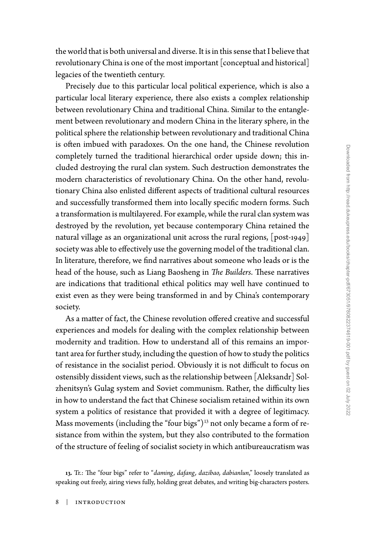the world that is both universal and diverse. It is in this sense that I believe that revolutionary China is one of the most important [conceptual and historical] legacies of the twentieth century.

Precisely due to this particular local political experience, which is also a particular local literary experience, there also exists a complex relationship between revolutionary China and traditional China. Similar to the entanglement between revolutionary and modern China in the literary sphere, in the political sphere the relationship between revolutionary and traditional China is often imbued with paradoxes. On the one hand, the Chinese revolution completely turned the traditional hierarchical order upside down; this included destroying the rural clan system. Such destruction demonstrates the modern characteristics of revolutionary China. On the other hand, revolutionary China also enlisted different aspects of traditional cultural resources and successfully transformed them into locally specific modern forms. Such a transformation is multilayered. For example, while the rural clan system was destroyed by the revolution, yet because contemporary China retained the natural village as an organizational unit across the rural regions,  $[post-1949]$ society was able to effectively use the governing model of the traditional clan. In literature, therefore, we find narratives about someone who leads or is the head of the house, such as Liang Baosheng in *The Builders*. These narratives are indications that traditional ethical politics may well have continued to exist even as they were being transformed in and by China's contemporary society.

As a matter of fact, the Chinese revolution offered creative and successful experiences and models for dealing with the complex relationship between modernity and tradition. How to understand all of this remains an important area for further study, including the question of how to study the politics of resistance in the socialist period. Obviously it is not difficult to focus on ostensibly dissident views, such as the relationship between [Aleksandr] Solzhenitsyn's Gulag system and Soviet communism. Rather, the difficulty lies in how to understand the fact that Chinese socialism retained within its own system a politics of resistance that provided it with a degree of legitimacy. Mass movements (including the "four bigs")<sup>13</sup> not only became a form of resistance from within the system, but they also contributed to the formation of the structure of feeling of socialist society in which antibureaucratism was

<sup>13.</sup> Tr.: The "four bigs" refer to "*daming, dafang, dazibao, dabianlun*," loosely translated as speaking out freely, airing views fully, holding great debates, and writing big- characters posters.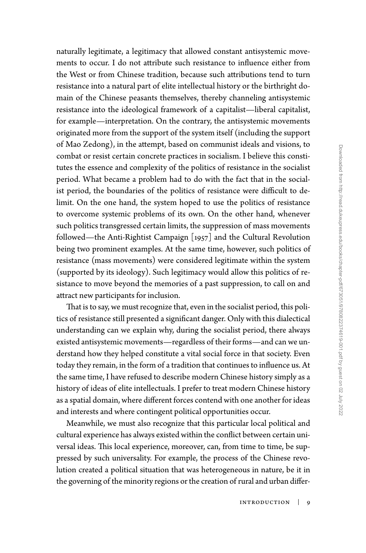naturally legitimate, a legitimacy that allowed constant antisystemic movements to occur. I do not attribute such resistance to influence either from the West or from Chinese tradition, because such attributions tend to turn resistance into a natural part of elite intellectual history or the birthright domain of the Chinese peasants themselves, thereby channeling antisystemic resistance into the ideological framework of a capitalist—liberal capitalist, for example—interpretation. On the contrary, the antisystemic movements originated more from the support of the system itself (including the support of Mao Zedong), in the attempt, based on communist ideals and visions, to combat or resist certain concrete practices in socialism. I believe this constitutes the essence and complexity of the politics of resistance in the socialist period. What became a problem had to do with the fact that in the socialist period, the boundaries of the politics of resistance were difficult to delimit. On the one hand, the system hoped to use the politics of resistance to overcome systemic problems of its own. On the other hand, whenever such politics transgressed certain limits, the suppression of mass movements followed—the Anti-Rightist Campaign  $\lceil 1957 \rceil$  and the Cultural Revolution being two prominent examples. At the same time, however, such politics of resistance (mass movements) were considered legitimate within the system (supported by its ideology). Such legitimacy would allow this politics of resistance to move beyond the memories of a past suppression, to call on and attract new participants for inclusion.

That is to say, we must recognize that, even in the socialist period, this politics of resistance still presented a significant danger. Only with this dialectical understanding can we explain why, during the socialist period, there always existed antisystemic movements—regardless of their forms—and can we understand how they helped constitute a vital social force in that society. Even today they remain, in the form of a tradition that continues to influence us. At the same time, I have refused to describe modern Chinese history simply as a history of ideas of elite intellectuals. I prefer to treat modern Chinese history as a spatial domain, where different forces contend with one another for ideas and interests and where contingent political opportunities occur.

Meanwhile, we must also recognize that this particular local political and cultural experience has always existed within the conflict between certain universal ideas. This local experience, moreover, can, from time to time, be suppressed by such universality. For example, the process of the Chinese revolution created a political situation that was heterogeneous in nature, be it in the governing of the minority regions or the creation of rural and urban differ-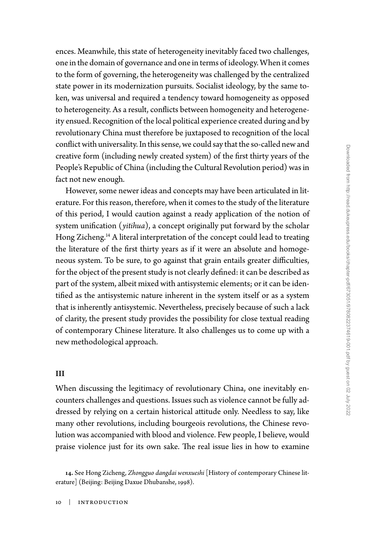ences. Meanwhile, this state of heterogeneity inevitably faced two challenges, one in the domain of governance and one in terms of ideology. When it comes to the form of governing, the heterogeneity was challenged by the centralized state power in its modernization pursuits. Socialist ideology, by the same token, was universal and required a tendency toward homogeneity as opposed to heterogeneity. As a result, conflicts between homogeneity and heterogeneity ensued. Recognition of the local political experience created during and by revolutionary China must therefore be juxtaposed to recognition of the local conflict with universality. In this sense, we could say that the so-called new and creative form (including newly created system) of the first thirty years of the People's Republic of China (including the Cultural Revolution period) was in fact not new enough.

However, some newer ideas and concepts may have been articulated in literature. For this reason, therefore, when it comes to the study of the literature of this period, I would caution against a ready application of the notion of system unification (*yitihua*), a concept originally put forward by the scholar Hong Zicheng.<sup>14</sup> A literal interpretation of the concept could lead to treating the literature of the first thirty years as if it were an absolute and homogeneous system. To be sure, to go against that grain entails greater difficulties, for the object of the present study is not clearly defined: it can be described as part of the system, albeit mixed with antisystemic elements; or it can be identified as the antisystemic nature inherent in the system itself or as a system that is inherently antisystemic. Nevertheless, precisely because of such a lack of clarity, the present study provides the possibility for close textual reading of contemporary Chinese literature. It also challenges us to come up with a new methodological approach.

#### III

When discussing the legitimacy of revolutionary China, one inevitably encounters challenges and questions. Issues such as violence cannot be fully addressed by relying on a certain historical attitude only. Needless to say, like many other revolutions, including bourgeois revolutions, the Chinese revolution was accompanied with blood and violence. Few people, I believe, would praise violence just for its own sake. The real issue lies in how to examine

<sup>14.</sup> See Hong Zicheng, *Zhongguo dangdai wenxueshi* [History of contemporary Chinese literature] (Beijing: Beijing Daxue Dhubanshe, 1998).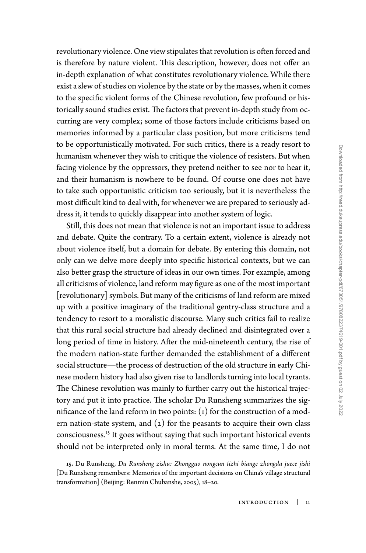revolutionary violence. One view stipulates that revolution is often forced and is therefore by nature violent. This description, however, does not offer an in-depth explanation of what constitutes revolutionary violence. While there exist a slew of studies on violence by the state or by the masses, when it comes to the specific violent forms of the Chinese revolution, few profound or historically sound studies exist. The factors that prevent in-depth study from occurring are very complex; some of those factors include criticisms based on memories informed by a particular class position, but more criticisms tend to be opportunistically motivated. For such critics, there is a ready resort to humanism whenever they wish to critique the violence of resisters. But when facing violence by the oppressors, they pretend neither to see nor to hear it, and their humanism is nowhere to be found. Of course one does not have to take such opportunistic criticism too seriously, but it is nevertheless the most difficult kind to deal with, for whenever we are prepared to seriously address it, it tends to quickly disappear into another system of logic.

Still, this does not mean that violence is not an important issue to address and debate. Quite the contrary. To a certain extent, violence is already not about violence itself, but a domain for debate. By entering this domain, not only can we delve more deeply into specific historical contexts, but we can also better grasp the structure of ideas in our own times. For example, among all criticisms of violence, land reform may figure as one of the most important [revolutionary] symbols. But many of the criticisms of land reform are mixed up with a positive imaginary of the traditional gentry- class structure and a tendency to resort to a moralistic discourse. Many such critics fail to realize that this rural social structure had already declined and disintegrated over a long period of time in history. After the mid-nineteenth century, the rise of the modern nation- state further demanded the establishment of a different social structure—the process of destruction of the old structure in early Chinese modern history had also given rise to landlords turning into local tyrants. The Chinese revolution was mainly to further carry out the historical trajectory and put it into practice. The scholar Du Runsheng summarizes the significance of the land reform in two points: (1) for the construction of a modern nation-state system, and  $(2)$  for the peasants to acquire their own class consciousness.15 It goes without saying that such important historical events should not be interpreted only in moral terms. At the same time, I do not

<sup>15.</sup> Du Runsheng, *Du Runsheng zishu: Zhongguo nongcun tizhi biange zhongda juece jishi* [Du Runsheng remembers: Memories of the important decisions on China's village structural transformation] (Beijing: Renmin Chubanshe, 2005), 18-20.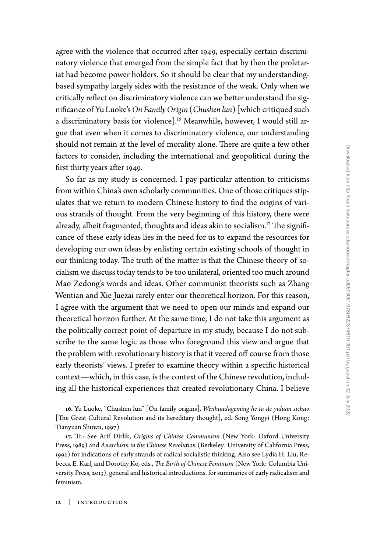agree with the violence that occurred after 1949, especially certain discriminatory violence that emerged from the simple fact that by then the proletariat had become power holders. So it should be clear that my understandingbased sympathy largely sides with the resistance of the weak. Only when we critically reflect on discriminatory violence can we better understand the significance of Yu Luoke's *On Family Origin* (*Chushen lun*) [which critiqued such a discriminatory basis for violence].<sup>16</sup> Meanwhile, however, I would still argue that even when it comes to discriminatory violence, our understanding should not remain at the level of morality alone. There are quite a few other factors to consider, including the international and geopolitical during the first thirty years after 1949.

So far as my study is concerned, I pay particular attention to criticisms from within China's own scholarly communities. One of those critiques stipulates that we return to modern Chinese history to find the origins of various strands of thought. From the very beginning of this history, there were already, albeit fragmented, thoughts and ideas akin to socialism.<sup>17</sup> The significance of these early ideas lies in the need for us to expand the resources for developing our own ideas by enlisting certain existing schools of thought in our thinking today. The truth of the matter is that the Chinese theory of socialism we discuss today tends to be too unilateral, oriented too much around Mao Zedong's words and ideas. Other communist theorists such as Zhang Wentian and Xie Juezai rarely enter our theoretical horizon. For this reason, I agree with the argument that we need to open our minds and expand our theoretical horizon further. At the same time, I do not take this argument as the politically correct point of departure in my study, because I do not subscribe to the same logic as those who foreground this view and argue that the problem with revolutionary history is that it veered off course from those early theorists' views. I prefer to examine theory within a specific historical context—which, in this case, is the context of the Chinese revolution, including all the historical experiences that created revolutionary China. I believe

17. Tr.: See Arif Dirlik, *Origins of Chinese Communism* (New York: Oxford University Press, 1989) and *Anarchism in the Chinese Revolution* (Berkeley: University of California Press, 1992) for indications of early strands of radical socialistic thinking. Also see Lydia H. Liu, Rebecca E. Karl, and Dorothy Ko, eds., *The Birth of Chinese Feminism* (New York: Columbia University Press, 2013), general and historical introductions, for summaries of early radicalism and feminism.

<sup>16.</sup> Yu Luoke, "Chushen lun" [On family origins], *Wenhuadageming he ta de yiduan sichao* [The Great Cultural Revolution and its hereditary thought], ed. Song Yongyi (Hong Kong: Tianyuan Shuwu, 1997).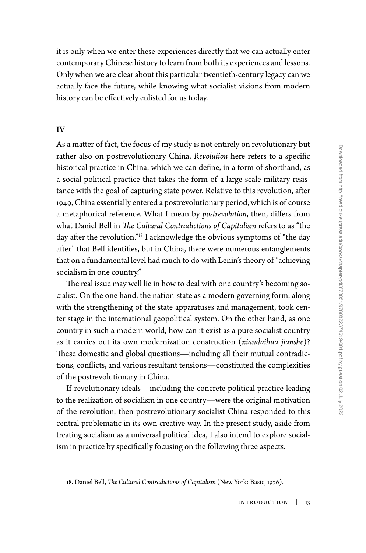it is only when we enter these experiences directly that we can actually enter contemporary Chinese history to learn from both its experiences and lessons. Only when we are clear about this particular twentieth- century legacy can we actually face the future, while knowing what socialist visions from modern history can be effectively enlisted for us today.

#### IV

As a matter of fact, the focus of my study is not entirely on revolutionary but rather also on postrevolutionary China. *Revolution* here refers to a specific historical practice in China, which we can define, in a form of shorthand, as a social- political practice that takes the form of a large- scale military resistance with the goal of capturing state power. Relative to this revolution, after 1949, China essentially entered a postrevolutionary period, which is of course a metaphorical reference. What I mean by *postrevolution*, then, differs from what Daniel Bell in *The Cultural Contradictions of Capitalism* refers to as "the day after the revolution."18 I acknowledge the obvious symptoms of "the day after" that Bell identifies, but in China, there were numerous entanglements that on a fundamental level had much to do with Lenin's theory of "achieving socialism in one country."

The real issue may well lie in how to deal with one country's becoming socialist. On the one hand, the nation- state as a modern governing form, along with the strengthening of the state apparatuses and management, took center stage in the international geopolitical system. On the other hand, as one country in such a modern world, how can it exist as a pure socialist country as it carries out its own modernization construction (*xiandaihua jianshe*)? These domestic and global questions—including all their mutual contradictions, conflicts, and various resultant tensions—constituted the complexities of the postrevolutionary in China.

If revolutionary ideals—including the concrete political practice leading to the realization of socialism in one country—were the original motivation of the revolution, then postrevolutionary socialist China responded to this central problematic in its own creative way. In the present study, aside from treating socialism as a universal political idea, I also intend to explore socialism in practice by specifically focusing on the following three aspects.

<sup>18.</sup> Daniel Bell, *The Cultural Contradictions of Capitalism* (New York: Basic, 1976).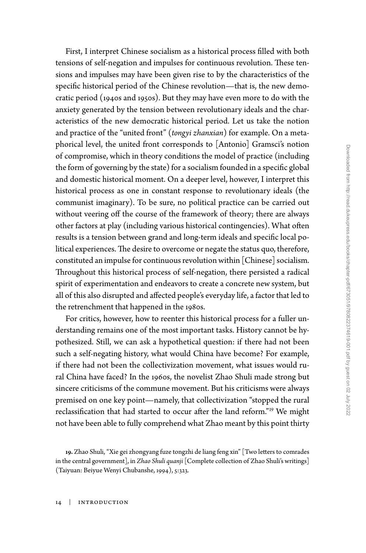First, I interpret Chinese socialism as a historical process filled with both tensions of self-negation and impulses for continuous revolution. These tensions and impulses may have been given rise to by the characteristics of the specific historical period of the Chinese revolution—that is, the new democratic period (1940s and 1950s). But they may have even more to do with the anxiety generated by the tension between revolutionary ideals and the characteristics of the new democratic historical period. Let us take the notion and practice of the "united front" (*tongyi zhanxian*) for example. On a metaphorical level, the united front corresponds to [Antonio] Gramsci's notion of compromise, which in theory conditions the model of practice (including the form of governing by the state) for a socialism founded in a specific global and domestic historical moment. On a deeper level, however, I interpret this historical process as one in constant response to revolutionary ideals (the communist imaginary). To be sure, no political practice can be carried out without veering off the course of the framework of theory; there are always other factors at play (including various historical contingencies). What often results is a tension between grand and long-term ideals and specific local political experiences. The desire to overcome or negate the status quo, therefore, constituted an impulse for continuous revolution within [Chinese] socialism. Throughout this historical process of self-negation, there persisted a radical spirit of experimentation and endeavors to create a concrete new system, but all of this also disrupted and affected people's everyday life, a factor that led to the retrenchment that happened in the 1980s.

For critics, however, how to reenter this historical process for a fuller understanding remains one of the most important tasks. History cannot be hypothesized. Still, we can ask a hypothetical question: if there had not been such a self-negating history, what would China have become? For example, if there had not been the collectivization movement, what issues would rural China have faced? In the 1960s, the novelist Zhao Shuli made strong but sincere criticisms of the commune movement. But his criticisms were always premised on one key point—namely, that collectivization "stopped the rural reclassification that had started to occur after the land reform."19 We might not have been able to fully comprehend what Zhao meant by this point thirty

<sup>19.</sup> Zhao Shuli, "Xie gei zhongyang fuze tongzhi de liang feng xin" [Two letters to comrades in the central government], in *Zhao Shuli quanji* [Complete collection of Zhao Shuli's writings] (Taiyuan: Beiyue Wenyi Chubanshe, 1994), 5:323.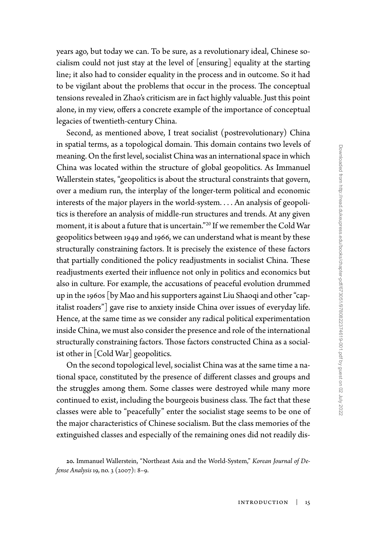years ago, but today we can. To be sure, as a revolutionary ideal, Chinese socialism could not just stay at the level of [ensuring] equality at the starting line; it also had to consider equality in the process and in outcome. So it had to be vigilant about the problems that occur in the process. The conceptual tensions revealed in Zhao's criticism are in fact highly valuable. Just this point alone, in my view, offers a concrete example of the importance of conceptual legacies of twentieth-century China.

Second, as mentioned above, I treat socialist (postrevolutionary) China in spatial terms, as a topological domain. This domain contains two levels of meaning. On the first level, socialist China was an international space in which China was located within the structure of global geopolitics. As Immanuel Wallerstein states, "geopolitics is about the structural constraints that govern, over a medium run, the interplay of the longer- term political and economic interests of the major players in the world- system. . . . An analysis of geopolitics is therefore an analysis of middle- run structures and trends. At any given moment, it is about a future that is uncertain."20 If we remember the Cold War geopolitics between 1949 and 1966, we can understand what is meant by these structurally constraining factors. It is precisely the existence of these factors that partially conditioned the policy readjustments in socialist China. These readjustments exerted their influence not only in politics and economics but also in culture. For example, the accusations of peaceful evolution drummed up in the 1960s [by Mao and his supporters against Liu Shaoqi and other "capitalist roaders"] gave rise to anxiety inside China over issues of everyday life. Hence, at the same time as we consider any radical political experimentation inside China, we must also consider the presence and role of the international structurally constraining factors. Those factors constructed China as a socialist other in [Cold War] geopolitics.

On the second topological level, socialist China was at the same time a national space, constituted by the presence of different classes and groups and the struggles among them. Some classes were destroyed while many more continued to exist, including the bourgeois business class. The fact that these classes were able to "peacefully" enter the socialist stage seems to be one of the major characteristics of Chinese socialism. But the class memories of the extinguished classes and especially of the remaining ones did not readily dis-

<sup>20.</sup> Immanuel Wallerstein, "Northeast Asia and the World- System," *Korean Journal of Defense Analysis* 19, no. 3 (2007): 8-9.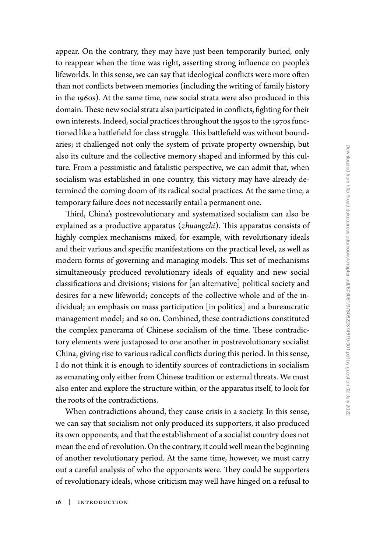appear. On the contrary, they may have just been temporarily buried, only to reappear when the time was right, asserting strong influence on people's life worlds. In this sense, we can say that ideological conflicts were more often than not conflicts between memories (including the writing of family history in the 1960s). At the same time, new social strata were also produced in this domain. These new social strata also participated in conflicts, fighting for their own interests. Indeed, social practices throughout the 1950s to the 1970s functioned like a battlefield for class struggle. This battlefield was without boundaries; it challenged not only the system of private property ownership, but also its culture and the collective memory shaped and informed by this culture. From a pessimistic and fatalistic perspective, we can admit that, when socialism was established in one country, this victory may have already determined the coming doom of its radical social practices. At the same time, a temporary failure does not necessarily entail a permanent one.

Third, China's postrevolutionary and systematized socialism can also be explained as a productive apparatus (*zhuangzhi*). This apparatus consists of highly complex mechanisms mixed, for example, with revolutionary ideals and their various and specific manifestations on the practical level, as well as modern forms of governing and managing models. This set of mechanisms simultaneously produced revolutionary ideals of equality and new social classifications and divisions; visions for [an alternative] political society and desires for a new lifeworld; concepts of the collective whole and of the individual; an emphasis on mass participation [in politics] and a bureaucratic management model; and so on. Combined, these contradictions constituted the complex panorama of Chinese socialism of the time. These contradictory elements were juxtaposed to one another in postrevolutionary socialist China, giving rise to various radical conflicts during this period. In this sense, I do not think it is enough to identify sources of contradictions in socialism as emanating only either from Chinese tradition or external threats. We must also enter and explore the structure within, or the apparatus itself, to look for the roots of the contradictions.

When contradictions abound, they cause crisis in a society. In this sense, we can say that socialism not only produced its supporters, it also produced its own opponents, and that the establishment of a socialist country does not mean the end of revolution. On the contrary, it could well mean the beginning of another revolutionary period. At the same time, however, we must carry out a careful analysis of who the opponents were. They could be supporters of revolutionary ideals, whose criticism may well have hinged on a refusal to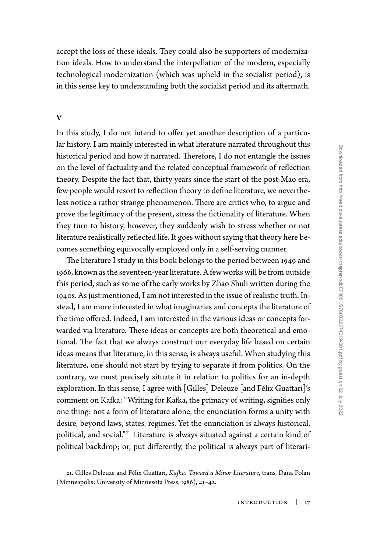accept the loss of these ideals. They could also be supporters of modernization ideals. How to understand the interpellation of the modern, especially technological modernization (which was upheld in the socialist period), is in this sense key to understanding both the socialist period and its aftermath.

#### V

In this study, I do not intend to offer yet another description of a particular history. I am mainly interested in what literature narrated throughout this historical period and how it narrated. Therefore, I do not entangle the issues on the level of factuality and the related conceptual framework of reflection theory. Despite the fact that, thirty years since the start of the post-Mao era, few people would resort to reflection theory to define literature, we nevertheless notice a rather strange phenomenon. There are critics who, to argue and prove the legitimacy of the present, stress the fictionality of literature. When they turn to history, however, they suddenly wish to stress whether or not literature realistically reflected life. It goes without saying that theory here becomes something equivocally employed only in a self- serving manner.

The literature I study in this book belongs to the period between 1949 and 1966, known as the seventeen- year literature. A few works will be from outside this period, such as some of the early works by Zhao Shuli written during the 1940s. As just mentioned, I am not interested in the issue of realistic truth. Instead, I am more interested in what imaginaries and concepts the literature of the time offered. Indeed, I am interested in the various ideas or concepts forwarded via literature. These ideas or concepts are both theoretical and emotional. The fact that we always construct our everyday life based on certain ideas means that literature, in this sense, is always useful. When studying this literature, one should not start by trying to separate it from politics. On the contrary, we must precisely situate it in relation to politics for an in-depth exploration. In this sense, I agree with [Gilles] Deleuze [and Félix Guattari]'s comment on Kafka: "Writing for Kafka, the primacy of writing, signifies only one thing: not a form of literature alone, the enunciation forms a unity with desire, beyond laws, states, regimes. Yet the enunciation is always historical, political, and social."21 Literature is always situated against a certain kind of political backdrop; or, put differently, the political is always part of literari-

<sup>21.</sup> Gilles Deleuze and Félix Guattari, *Kafka: Toward a Minor Literature*, trans. Dana Polan (Minneapolis: University of Minnesota Press, 1986), 41-42.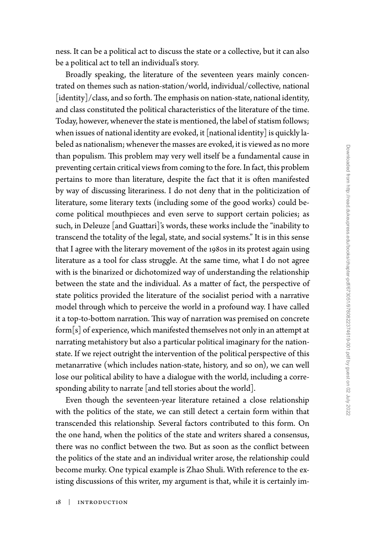ness. It can be a political act to discuss the state or a collective, but it can also be a political act to tell an individual's story.

Broadly speaking, the literature of the seventeen years mainly concentrated on themes such as nation- station/ world, individual/ collective, national [identity]/class, and so forth. The emphasis on nation-state, national identity, and class constituted the political characteristics of the literature of the time. Today, however, whenever the state is mentioned, the label of statism follows; when issues of national identity are evoked, it [national identity] is quickly labeled as nationalism; whenever the masses are evoked, it is viewed as no more than populism. This problem may very well itself be a fundamental cause in preventing certain critical views from coming to the fore. In fact, this problem pertains to more than literature, despite the fact that it is often manifested by way of discussing literariness. I do not deny that in the politicization of literature, some literary texts (including some of the good works) could become political mouthpieces and even serve to support certain policies; as such, in Deleuze [and Guattari]'s words, these works include the "inability to transcend the totality of the legal, state, and social systems." It is in this sense that I agree with the literary movement of the 1980s in its protest again using literature as a tool for class struggle. At the same time, what I do not agree with is the binarized or dichotomized way of understanding the relationship between the state and the individual. As a matter of fact, the perspective of state politics provided the literature of the socialist period with a narrative model through which to perceive the world in a profound way. I have called it a top-to-bottom narration. This way of narration was premised on concrete form[s] of experience, which manifested themselves not only in an attempt at narrating metahistory but also a particular political imaginary for the nationstate. If we reject outright the intervention of the political perspective of this metanarrative (which includes nation- state, history, and so on), we can well lose our political ability to have a dialogue with the world, including a corresponding ability to narrate [and tell stories about the world].

Even though the seventeen- year literature retained a close relationship with the politics of the state, we can still detect a certain form within that transcended this relationship. Several factors contributed to this form. On the one hand, when the politics of the state and writers shared a consensus, there was no conflict between the two. But as soon as the conflict between the politics of the state and an individual writer arose, the relationship could become murky. One typical example is Zhao Shuli. With reference to the existing discussions of this writer, my argument is that, while it is certainly im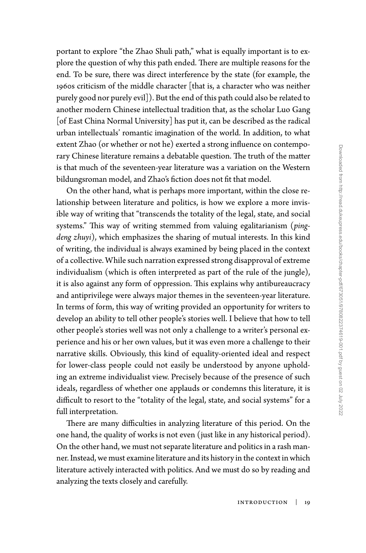portant to explore "the Zhao Shuli path," what is equally important is to explore the question of why this path ended. There are multiple reasons for the end. To be sure, there was direct interference by the state (for example, the 1960s criticism of the middle character [that is, a character who was neither purely good nor purely evil]). But the end of this path could also be related to another modern Chinese intellectual tradition that, as the scholar Luo Gang [of East China Normal University] has put it, can be described as the radical urban intellectuals' romantic imagination of the world. In addition, to what extent Zhao (or whether or not he) exerted a strong influence on contemporary Chinese literature remains a debatable question. The truth of the matter is that much of the seventeen- year literature was a variation on the Western bildungsroman model, and Zhao's fiction does not fit that model.

On the other hand, what is perhaps more important, within the close relationship between literature and politics, is how we explore a more invisible way of writing that "transcends the totality of the legal, state, and social systems." This way of writing stemmed from valuing egalitarianism (*pingdeng zhuyi*), which emphasizes the sharing of mutual interests. In this kind of writing, the individual is always examined by being placed in the context of a collective. While such narration expressed strong disapproval of extreme individualism (which is often interpreted as part of the rule of the jungle), it is also against any form of oppression. This explains why antibureaucracy and antiprivilege were always major themes in the seventeen- year literature. In terms of form, this way of writing provided an opportunity for writers to develop an ability to tell other people's stories well. I believe that how to tell other people's stories well was not only a challenge to a writer's personal experience and his or her own values, but it was even more a challenge to their narrative skills. Obviously, this kind of equality- oriented ideal and respect for lower- class people could not easily be understood by anyone upholding an extreme individualist view. Precisely because of the presence of such ideals, regardless of whether one applauds or condemns this literature, it is difficult to resort to the "totality of the legal, state, and social systems" for a full interpretation.

There are many difficulties in analyzing literature of this period. On the one hand, the quality of works is not even (just like in any historical period). On the other hand, we must not separate literature and politics in a rash manner. Instead, we must examine literature and its history in the context in which literature actively interacted with politics. And we must do so by reading and analyzing the texts closely and carefully.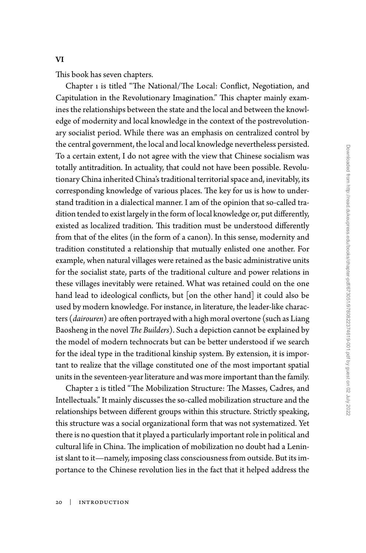#### VI

This book has seven chapters.

[Chapter 1](#page--1-0) is titled "The National/ The Local: Conflict, Negotiation, and Capitulation in the Revolutionary Imagination." This chapter mainly examines the relationships between the state and the local and between the knowledge of modernity and local knowledge in the context of the postrevolutionary socialist period. While there was an emphasis on centralized control by the central government, the local and local knowledge nevertheless persisted. To a certain extent, I do not agree with the view that Chinese socialism was totally antitradition. In actuality, that could not have been possible. Revolutionary China inherited China's traditional territorial space and, inevitably, its corresponding knowledge of various places. The key for us is how to understand tradition in a dialectical manner. I am of the opinion that so-called tradition tended to exist largely in the form of local knowledge or, put differently, existed as localized tradition. This tradition must be understood differently from that of the elites (in the form of a canon). In this sense, modernity and tradition constituted a relationship that mutually enlisted one another. For example, when natural villages were retained as the basic administrative units for the socialist state, parts of the traditional culture and power relations in these villages inevitably were retained. What was retained could on the one hand lead to ideological conflicts, but [on the other hand] it could also be used by modern knowledge. For instance, in literature, the leader-like characters (*dairouren*) are often portrayed with a high moral overtone (such as Liang Baosheng in the novel *The Builders*). Such a depiction cannot be explained by the model of modern technocrats but can be better understood if we search for the ideal type in the traditional kinship system. By extension, it is important to realize that the village constituted one of the most important spatial units in the seventeen-year literature and was more important than the family.

[Chapter 2](#page--1-0) is titled "The Mobilization Structure: The Masses, Cadres, and Intellectuals." It mainly discusses the so-called mobilization structure and the relationships between different groups within this structure. Strictly speaking, this structure was a social organizational form that was not systematized. Yet there is no question that it played a particularly important role in political and cultural life in China. The implication of mobilization no doubt had a Leninist slant to it—namely, imposing class consciousness from outside. But its importance to the Chinese revolution lies in the fact that it helped address the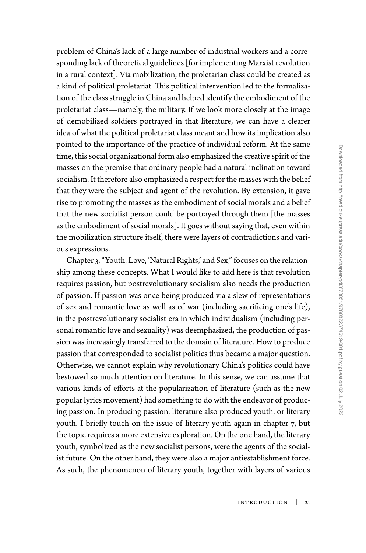problem of China's lack of a large number of industrial workers and a corresponding lack of theoretical guidelines [for implementing Marxist revolution in a rural context]. Via mobilization, the proletarian class could be created as a kind of political proletariat. This political intervention led to the formalization of the class struggle in China and helped identify the embodiment of the proletariat class—namely, the military. If we look more closely at the image of demobilized soldiers portrayed in that literature, we can have a clearer idea of what the political proletariat class meant and how its implication also pointed to the importance of the practice of individual reform. At the same time, this social organizational form also emphasized the creative spirit of the masses on the premise that ordinary people had a natural inclination toward socialism. It therefore also emphasized a respect for the masses with the belief that they were the subject and agent of the revolution. By extension, it gave rise to promoting the masses as the embodiment of social morals and a belief that the new socialist person could be portrayed through them [the masses as the embodiment of social morals]. It goes without saying that, even within the mobilization structure itself, there were layers of contradictions and various expressions.

[Chapter 3,](#page--1-0) "Youth, Love, 'Natural Rights,' and Sex," focuses on the relationship among these concepts. What I would like to add here is that revolution requires passion, but postrevolutionary socialism also needs the production of passion. If passion was once being produced via a slew of representations of sex and romantic love as well as of war (including sacrificing one's life), in the postrevolutionary socialist era in which individualism (including personal romantic love and sexuality) was deemphasized, the production of passion was increasingly transferred to the domain of literature. How to produce passion that corresponded to socialist politics thus became a major question. Otherwise, we cannot explain why revolutionary China's politics could have bestowed so much attention on literature. In this sense, we can assume that various kinds of efforts at the popularization of literature (such as the new popular lyrics movement) had something to do with the endeavor of producing passion. In producing passion, literature also produced youth, or literary youth. I briefly touch on the issue of literary youth again in [chapter 7,](#page--1-0) but the topic requires a more extensive exploration. On the one hand, the literary youth, symbolized as the new socialist persons, were the agents of the socialist future. On the other hand, they were also a major antiestablishment force. As such, the phenomenon of literary youth, together with layers of various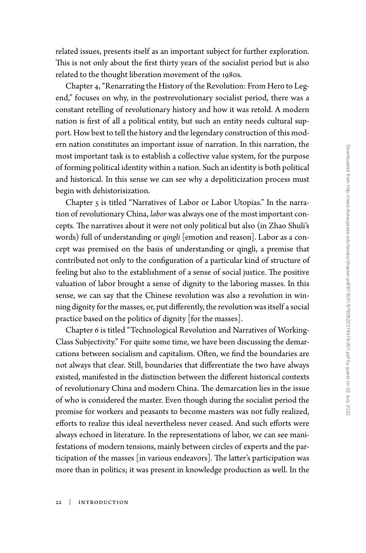related issues, presents itself as an important subject for further exploration. This is not only about the first thirty years of the socialist period but is also related to the thought liberation movement of the 1980s.

[Chapter 4](#page--1-0), "Renarrating the History of the Revolution: From Hero to Legend," focuses on why, in the postrevolutionary socialist period, there was a constant retelling of revolutionary history and how it was retold. A modern nation is first of all a political entity, but such an entity needs cultural support. How best to tell the history and the legendary construction of this modern nation constitutes an important issue of narration. In this narration, the most important task is to establish a collective value system, for the purpose of forming political identity within a nation. Such an identity is both political and historical. In this sense we can see why a depoliticization process must begin with dehistorisization.

[Chapter 5](#page--1-0) is titled "Narratives of Labor or Labor Utopias." In the narration of revolutionary China, *labor* was always one of the most important concepts. The narratives about it were not only political but also (in Zhao Shuli's words) full of understanding or *qingli* [emotion and reason]. Labor as a concept was premised on the basis of understanding or qingli, a premise that contributed not only to the configuration of a particular kind of structure of feeling but also to the establishment of a sense of social justice. The positive valuation of labor brought a sense of dignity to the laboring masses. In this sense, we can say that the Chinese revolution was also a revolution in winning dignity for the masses, or, put differently, the revolution was itself a social practice based on the politics of dignity [for the masses].

[Chapter 6](#page--1-0) is titled "Technological Revolution and Narratives of Working-Class Subjectivity." For quite some time, we have been discussing the demarcations between socialism and capitalism. Often, we find the boundaries are not always that clear. Still, boundaries that differentiate the two have always existed, manifested in the distinction between the different historical contexts of revolutionary China and modern China. The demarcation lies in the issue of who is considered the master. Even though during the socialist period the promise for workers and peasants to become masters was not fully realized, efforts to realize this ideal nevertheless never ceased. And such efforts were always echoed in literature. In the representations of labor, we can see manifestations of modern tensions, mainly between circles of experts and the participation of the masses [in various endeavors]. The latter's participation was more than in politics; it was present in knowledge production as well. In the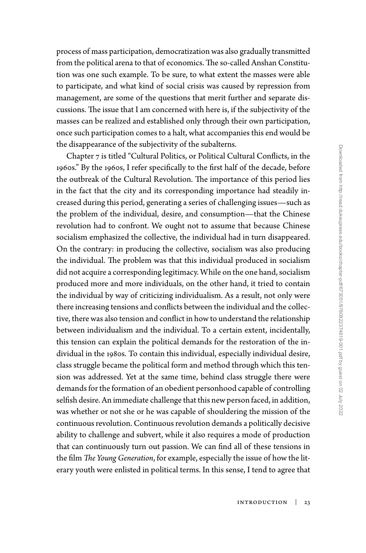process of mass participation, democratization was also gradually transmitted from the political arena to that of economics. The so-called Anshan Constitution was one such example. To be sure, to what extent the masses were able to participate, and what kind of social crisis was caused by repression from management, are some of the questions that merit further and separate discussions. The issue that I am concerned with here is, if the subjectivity of the masses can be realized and established only through their own participation, once such participation comes to a halt, what accompanies this end would be the disappearance of the subjectivity of the subalterns.

[Chapter 7](#page--1-0) is titled "Cultural Politics, or Political Cultural Conflicts, in the 1960s." By the 1960s, I refer specifically to the first half of the decade, before the outbreak of the Cultural Revolution. The importance of this period lies in the fact that the city and its corresponding importance had steadily increased during this period, generating a series of challenging issues—such as the problem of the individual, desire, and consumption—that the Chinese revolution had to confront. We ought not to assume that because Chinese socialism emphasized the collective, the individual had in turn disappeared. On the contrary: in producing the collective, socialism was also producing the individual. The problem was that this individual produced in socialism did not acquire a corresponding legitimacy. While on the one hand, socialism produced more and more individuals, on the other hand, it tried to contain the individual by way of criticizing individualism. As a result, not only were there increasing tensions and conflicts between the individual and the collective, there was also tension and conflict in how to understand the relationship between individualism and the individual. To a certain extent, incidentally, this tension can explain the political demands for the restoration of the individual in the 1980s. To contain this individual, especially individual desire, class struggle became the political form and method through which this tension was addressed. Yet at the same time, behind class struggle there were demands for the formation of an obedient personhood capable of controlling selfish desire. An immediate challenge that this new person faced, in addition, was whether or not she or he was capable of shouldering the mission of the continuous revolution. Continuous revolution demands a politically decisive ability to challenge and subvert, while it also requires a mode of production that can continuously turn out passion. We can find all of these tensions in the film *The Young Generation*, for example, especially the issue of how the literary youth were enlisted in political terms. In this sense, I tend to agree that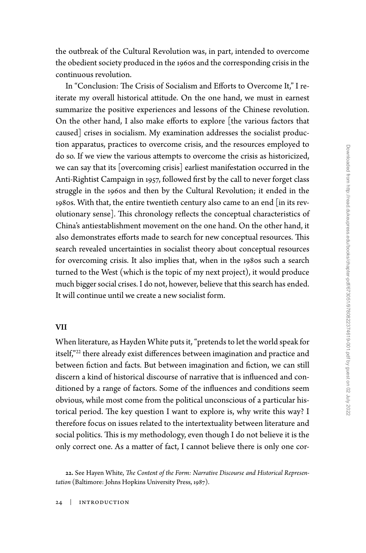the outbreak of the Cultural Revolution was, in part, intended to overcome the obedient society produced in the 1960s and the corresponding crisis in the continuous revolution.

In "Conclusion: The Crisis of Socialism and Efforts to Overcome It," I reiterate my overall historical attitude. On the one hand, we must in earnest summarize the positive experiences and lessons of the Chinese revolution. On the other hand, I also make efforts to explore [the various factors that caused] crises in socialism. My examination addresses the socialist production apparatus, practices to overcome crisis, and the resources employed to do so. If we view the various attempts to overcome the crisis as historicized, we can say that its [overcoming crisis] earliest manifestation occurred in the Anti-Rightist Campaign in 1957, followed first by the call to never forget class struggle in the 1960s and then by the Cultural Revolution; it ended in the 1980s. With that, the entire twentieth century also came to an end [in its revolutionary sense]. This chronology reflects the conceptual characteristics of China's antiestablishment movement on the one hand. On the other hand, it also demonstrates efforts made to search for new conceptual resources. This search revealed uncertainties in socialist theory about conceptual resources for overcoming crisis. It also implies that, when in the 1980s such a search turned to the West (which is the topic of my next project), it would produce much bigger social crises. I do not, however, believe that this search has ended. It will continue until we create a new socialist form.

### VII

When literature, as Hayden White puts it, "pretends to let the world speak for itself,"<sup>22</sup> there already exist differences between imagination and practice and between fiction and facts. But between imagination and fiction, we can still discern a kind of historical discourse of narrative that is influenced and conditioned by a range of factors. Some of the influences and conditions seem obvious, while most come from the political unconscious of a particular historical period. The key question I want to explore is, why write this way? I therefore focus on issues related to the intertextuality between literature and social politics. This is my methodology, even though I do not believe it is the only correct one. As a matter of fact, I cannot believe there is only one cor-

<sup>22.</sup> See Hayen White, *The Content of the Form: Narrative Discourse and Historical Representation* (Baltimore: Johns Hopkins University Press, 1987).